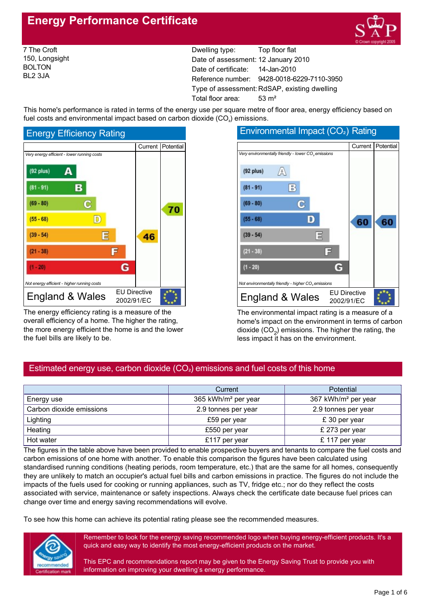# **Energy Performance Certificate**



7 The Croft 150, Longsight **BOLTON** BL2 3JA

Dwelling type: Top floor flat Date of assessment: 12 January 2010 Date of certificate: 14-Jan-2010 Reference number: 9428-0018-6229-7110-3950 Type of assessment: RdSAP, existing dwelling Total floor area: 53 m<sup>2</sup>

This home's performance is rated in terms of the energy use per square metre of floor area, energy efficiency based on fuel costs and environmental impact based on carbon dioxide  $(CO<sub>2</sub>)$  emissions.



The energy efficiency rating is a measure of the overall efficiency of a home. The higher the rating, the more energy efficient the home is and the lower the fuel bills are likely to be.



The environmental impact rating is a measure of a home's impact on the environment in terms of carbon dioxide  $(CO<sub>2</sub>)$  emissions. The higher the rating, the less impact it has on the environment.

## Estimated energy use, carbon dioxide  $(CO<sub>2</sub>)$  emissions and fuel costs of this home

|                          | Current                         | <b>Potential</b>                |
|--------------------------|---------------------------------|---------------------------------|
| Energy use               | 365 kWh/m <sup>2</sup> per year | 367 kWh/m <sup>2</sup> per year |
| Carbon dioxide emissions | 2.9 tonnes per year             | 2.9 tonnes per year             |
| Lighting                 | £59 per year                    | £ 30 per year                   |
| Heating                  | £550 per year                   | £ 273 per year                  |
| Hot water                | £117 per year                   | £ 117 per year                  |

The figures in the table above have been provided to enable prospective buyers and tenants to compare the fuel costs and carbon emissions of one home with another. To enable this comparison the figures have been calculated using standardised running conditions (heating periods, room temperature, etc.) that are the same for all homes, consequently they are unlikely to match an occupier's actual fuel bills and carbon emissions in practice. The figures do not include the impacts of the fuels used for cooking or running appliances, such as TV, fridge etc.; nor do they reflect the costs associated with service, maintenance or safety inspections. Always check the certificate date because fuel prices can change over time and energy saving recommendations will evolve.

To see how this home can achieve its potential rating please see the recommended measures.



Remember to look for the energy saving recommended logo when buying energyefficient products. It's a quick and easy way to identify the most energy-efficient products on the market.

This EPC and recommendations report may be given to the Energy Saving Trust to provide you with information on improving your dwelling's energy performance.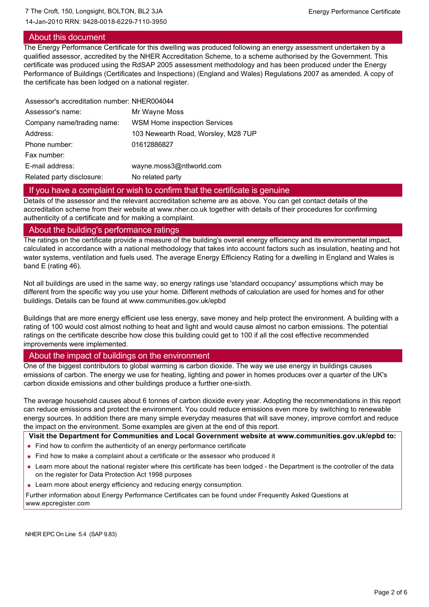## 14-Jan-2010 RRN: 9428-0018-6229-7110-3950

## About this document

The Energy Performance Certificate for this dwelling was produced following an energy assessment undertaken by a qualified assessor, accredited by the NHER Accreditation Scheme, to a scheme authorised by the Government. This certificate was produced using the RdSAP 2005 assessment methodology and has been produced under the Energy Performance of Buildings (Certificates and Inspections) (England and Wales) Regulations 2007 as amended. A copy of the certificate has been lodged on a national register.

| Assessor's accreditation number: NHER004044 |                                     |
|---------------------------------------------|-------------------------------------|
| Assessor's name:                            | Mr Wayne Moss                       |
| Company name/trading name:                  | <b>WSM Home inspection Services</b> |
| Address:                                    | 103 Newearth Road, Worsley, M28 7UP |
| Phone number:                               | 01612886827                         |
| Fax number:                                 |                                     |
| E-mail address:                             | wayne.moss3@ntlworld.com            |
| Related party disclosure:                   | No related party                    |

## If you have a complaint or wish to confirm that the certificate is genuine

Details of the assessor and the relevant accreditation scheme are as above. You can get contact details of the accreditation scheme from their website at www.nher.co.uk together with details of their procedures for confirming authenticity of a certificate and for making a complaint.

## About the building's performance ratings

The ratings on the certificate provide a measure of the building's overall energy efficiency and its environmental impact, calculated in accordance with a national methodology that takes into account factors such as insulation, heating and hot water systems, ventilation and fuels used. The average Energy Efficiency Rating for a dwelling in England and Wales is band E (rating 46).

Not all buildings are used in the same way, so energy ratings use 'standard occupancy' assumptions which may be different from the specific way you use your home. Different methods of calculation are used for homes and for other buildings. Details can be found at www.communities.gov.uk/epbd

Buildings that are more energy efficient use less energy, save money and help protect the environment. A building with a rating of 100 would cost almost nothing to heat and light and would cause almost no carbon emissions. The potential ratings on the certificate describe how close this building could get to 100 if all the cost effective recommended improvements were implemented.

## About the impact of buildings on the environment

One of the biggest contributors to global warming is carbon dioxide. The way we use energy in buildings causes emissions of carbon. The energy we use for heating, lighting and power in homes produces over a quarter of the UK's carbon dioxide emissions and other buildings produce a further onesixth.

The average household causes about 6 tonnes of carbon dioxide every year. Adopting the recommendations in this report can reduce emissions and protect the environment. You could reduce emissions even more by switching to renewable energy sources. In addition there are many simple everyday measures that will save money, improve comfort and reduce the impact on the environment. Some examples are given at the end of this report.

**Visit the Department for Communities and Local Government website at www.communities.gov.uk/epbd to:**

- Find how to confirm the authenticity of an energy performance certificate
- Find how to make a complaint about a certificate or the assessor who produced it
- Learn more about the national register where this certificate has been lodged the Department is the controller of the data on the register for Data Protection Act 1998 purposes
- **Learn more about energy efficiency and reducing energy consumption.**

Further information about Energy Performance Certificates can be found under Frequently Asked Questions at www.epcregister.com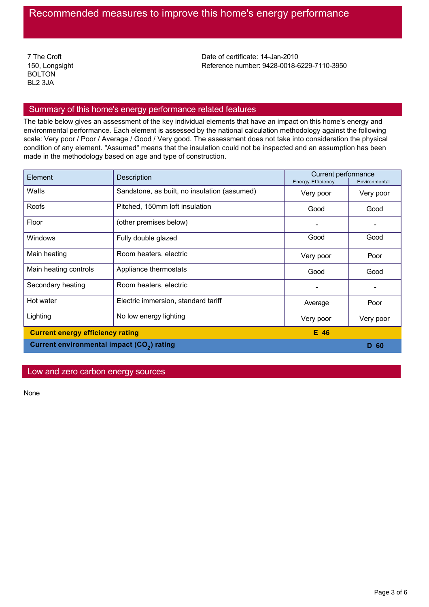7 The Croft 150, Longsight BOLTON BL2 3JA

Date of certificate: 14-Jan-2010 Reference number: 9428-0018-6229-7110-3950

### Summary of this home's energy performance related features

The table below gives an assessment of the key individual elements that have an impact on this home's energy and environmental performance. Each element is assessed by the national calculation methodology against the following scale: Very poor / Poor / Average / Good / Very good. The assessment does not take into consideration the physical condition of any element. "Assumed" means that the insulation could not be inspected and an assumption has been made in the methodology based on age and type of construction.

| Element                                                | Description                                  | Current performance<br><b>Energy Efficiency</b> | Environmental |
|--------------------------------------------------------|----------------------------------------------|-------------------------------------------------|---------------|
| Walls                                                  | Sandstone, as built, no insulation (assumed) | Very poor                                       | Very poor     |
| Roofs                                                  | Pitched, 150mm loft insulation               | Good                                            | Good          |
| Floor                                                  | (other premises below)                       |                                                 |               |
| Windows                                                | Fully double glazed                          | Good                                            | Good          |
| Main heating                                           | Room heaters, electric                       | Very poor                                       | Poor          |
| Main heating controls                                  | Appliance thermostats                        | Good                                            | Good          |
| Secondary heating                                      | Room heaters, electric                       |                                                 |               |
| Hot water                                              | Electric immersion, standard tariff          | Average                                         | Poor          |
| Lighting                                               | No low energy lighting                       | Very poor                                       | Very poor     |
| <b>Current energy efficiency rating</b>                |                                              | E 46                                            |               |
| Current environmental impact (CO <sub>2</sub> ) rating |                                              |                                                 | D.<br>-60     |

## Low and zero carbon energy sources

None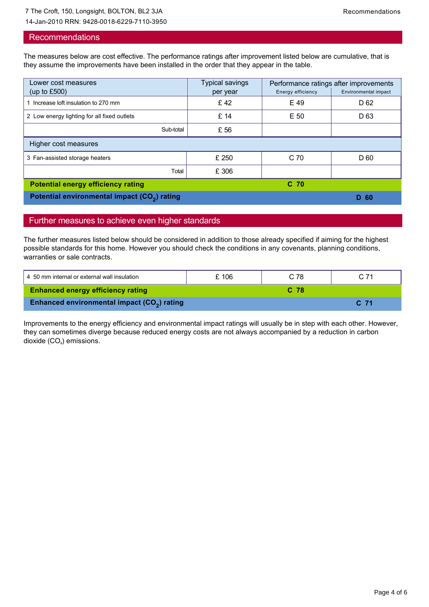14-Jan-2010 RRN: 9428-0018-6229-7110-3950

#### Recommendations

The measures below are cost effective. The performance ratings after improvement listed below are cumulative, that is they assume the improvements have been installed in the order that they appear in the table.

| Lower cost measures                                      | Typical savings | Performance ratings after improvements |                             |  |
|----------------------------------------------------------|-----------------|----------------------------------------|-----------------------------|--|
| (up to $£500$ )                                          | per year        | Energy efficiency                      | <b>Environmental impact</b> |  |
| Increase loft insulation to 270 mm                       | £42             | E 49                                   | D <sub>62</sub>             |  |
| 2 Low energy lighting for all fixed outlets              | £ 14            | E 50                                   | D <sub>63</sub>             |  |
| Sub-total                                                | £ 56            |                                        |                             |  |
| Higher cost measures                                     |                 |                                        |                             |  |
| 3 Fan-assisted storage heaters                           | £ 250           | C 70                                   | D 60                        |  |
| Total                                                    | £ 306           |                                        |                             |  |
| <b>Potential energy efficiency rating</b>                |                 | $C$ 70                                 |                             |  |
| Potential environmental impact (CO <sub>2</sub> ) rating | D.<br>-60       |                                        |                             |  |

## Further measures to achieve even higher standards

The further measures listed below should be considered in addition to those already specified if aiming for the highest possible standards for this home. However you should check the conditions in any covenants, planning conditions, warranties or sale contracts.

| 4 50 mm internal or external wall insulation            | £ 106 | C 78 | C 71       |
|---------------------------------------------------------|-------|------|------------|
| <b>Enhanced energy efficiency rating</b>                |       | C 78 |            |
| Enhanced environmental impact (CO <sub>2</sub> ) rating |       |      | $C_{2}$ 71 |

Improvements to the energy efficiency and environmental impact ratings will usually be in step with each other. However, they can sometimes diverge because reduced energy costs are not always accompanied by a reduction in carbon dioxide  $(CO<sub>2</sub>)$  emissions.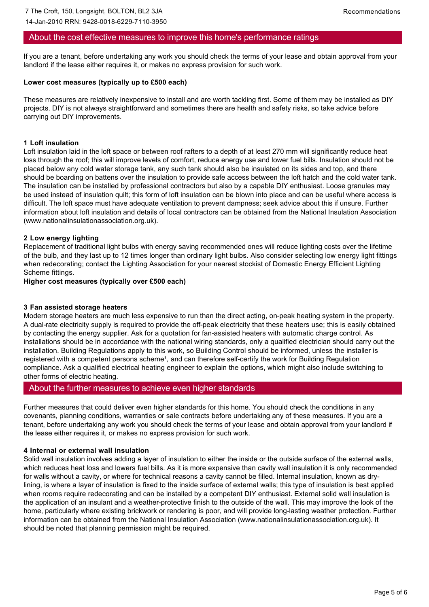#### About the cost effective measures to improve this home's performance ratings

If you are a tenant, before undertaking any work you should check the terms of your lease and obtain approval from your landlord if the lease either requires it, or makes no express provision for such work.

#### **Lower cost measures (typically up to £500 each)**

These measures are relatively inexpensive to install and are worth tackling first. Some of them may be installed as DIY projects. DIY is not always straightforward and sometimes there are health and safety risks, so take advice before carrying out DIY improvements.

#### **1 Loft insulation**

Loft insulation laid in the loft space or between roof rafters to a depth of at least 270 mm will significantly reduce heat loss through the roof; this will improve levels of comfort, reduce energy use and lower fuel bills. Insulation should not be placed below any cold water storage tank, any such tank should also be insulated on its sides and top, and there should be boarding on battens over the insulation to provide safe access between the loft hatch and the cold water tank. The insulation can be installed by professional contractors but also by a capable DIY enthusiast. Loose granules may be used instead of insulation quilt; this form of loft insulation can be blown into place and can be useful where access is difficult. The loft space must have adequate ventilation to prevent dampness; seek advice about this if unsure. Further information about loft insulation and details of local contractors can be obtained from the National Insulation Association (www.nationalinsulationassociation.org.uk).

#### **2 Low energy lighting**

Replacement of traditional light bulbs with energy saving recommended ones will reduce lighting costs over the lifetime of the bulb, and they last up to 12 times longer than ordinary light bulbs. Also consider selecting low energy light fittings when redecorating; contact the Lighting Association for your nearest stockist of Domestic Energy Efficient Lighting Scheme fittings.

**Higher cost measures (typically over £500 each)**

#### **3 Fan assisted storage heaters**

Modern storage heaters are much less expensive to run than the direct acting, on-peak heating system in the property. A dual-rate electricity supply is required to provide the off-peak electricity that these heaters use; this is easily obtained by contacting the energy supplier. Ask for a quotation for fan-assisted heaters with automatic charge control. As installations should be in accordance with the national wiring standards, only a qualified electrician should carry out the installation. Building Regulations apply to this work, so Building Control should be informed, unless the installer is registered with a competent persons scheme<sup>1</sup>, and can therefore self-certify the work for Building Regulation compliance. Ask a qualified electrical heating engineer to explain the options, which might also include switching to other forms of electric heating.

#### About the further measures to achieve even higher standards

Further measures that could deliver even higher standards for this home. You should check the conditions in any covenants, planning conditions, warranties or sale contracts before undertaking any of these measures. If you are a tenant, before undertaking any work you should check the terms of your lease and obtain approval from your landlord if the lease either requires it, or makes no express provision for such work.

#### **4 Internal or external wall insulation**

Solid wall insulation involves adding a layer of insulation to either the inside or the outside surface of the external walls, which reduces heat loss and lowers fuel bills. As it is more expensive than cavity wall insulation it is only recommended for walls without a cavity, or where for technical reasons a cavity cannot be filled. Internal insulation, known as drylining, is where a layer of insulation is fixed to the inside surface of external walls; this type of insulation is best applied when rooms require redecorating and can be installed by a competent DIY enthusiast. External solid wall insulation is the application of an insulant and a weather-protective finish to the outside of the wall. This may improve the look of the home, particularly where existing brickwork or rendering is poor, and will provide long-lasting weather protection. Further information can be obtained from the National Insulation Association (www.nationalinsulationassociation.org.uk). It should be noted that planning permission might be required.